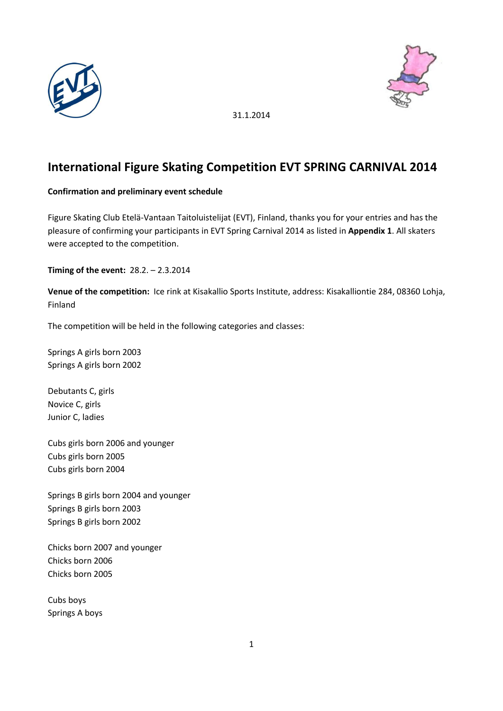



# **International Figure Skating Competition EVT SPRING CARNIVAL 2014**

## **Confirmation and preliminary event schedule**

Figure Skating Club Etelä-Vantaan Taitoluistelijat (EVT), Finland, thanks you for your entries and has the pleasure of confirming your participants in EVT Spring Carnival 2014 as listed in **Appendix 1**. All skaters were accepted to the competition.

**Timing of the event:** 28.2. – 2.3.2014

**Venue of the competition:** Ice rink at Kisakallio Sports Institute, address: Kisakalliontie 284, 08360 Lohja, Finland

The competition will be held in the following categories and classes:

Springs A girls born 2003 Springs A girls born 2002

Debutants C, girls Novice C, girls Junior C, ladies

Cubs girls born 2006 and younger Cubs girls born 2005 Cubs girls born 2004

Springs B girls born 2004 and younger Springs B girls born 2003 Springs B girls born 2002

Chicks born 2007 and younger Chicks born 2006 Chicks born 2005

Cubs boys Springs A boys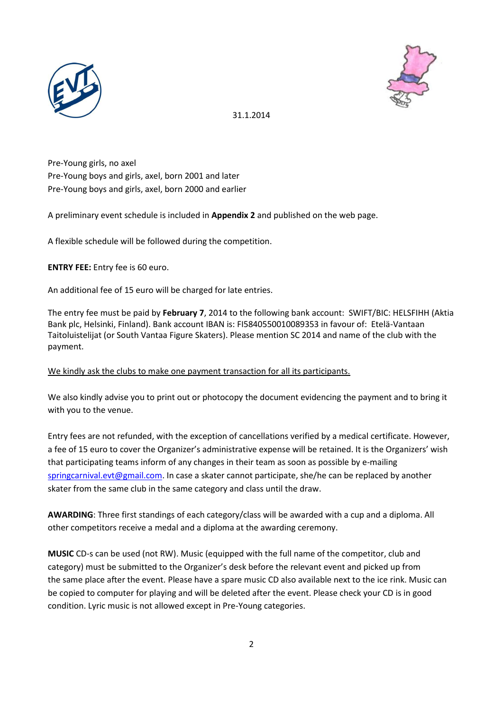



Pre-Young girls, no axel Pre-Young boys and girls, axel, born 2001 and later Pre-Young boys and girls, axel, born 2000 and earlier

A preliminary event schedule is included in **Appendix 2** and published on the web page.

A flexible schedule will be followed during the competition.

**ENTRY FEE:** Entry fee is 60 euro.

An additional fee of 15 euro will be charged for late entries.

The entry fee must be paid by **February 7**, 2014 to the following bank account: SWIFT/BIC: HELSFIHH (Aktia Bank plc, Helsinki, Finland). Bank account IBAN is: FI5840550010089353 in favour of: Etelä-Vantaan Taitoluistelijat (or South Vantaa Figure Skaters). Please mention SC 2014 and name of the club with the payment.

#### We kindly ask the clubs to make one payment transaction for all its participants.

We also kindly advise you to print out or photocopy the document evidencing the payment and to bring it with you to the venue.

Entry fees are not refunded, with the exception of cancellations verified by a medical certificate. However, a fee of 15 euro to cover the Organizer's administrative expense will be retained. It is the Organizers' wish that participating teams inform of any changes in their team as soon as possible by e-mailing [springcarnival.evt@gmail.com.](mailto:springcarnival.evt@gmail.com) In case a skater cannot participate, she/he can be replaced by another skater from the same club in the same category and class until the draw.

**AWARDING**: Three first standings of each category/class will be awarded with a cup and a diploma. All other competitors receive a medal and a diploma at the awarding ceremony.

**MUSIC** CD-s can be used (not RW). Music (equipped with the full name of the competitor, club and category) must be submitted to the Organizer's desk before the relevant event and picked up from the same place after the event. Please have a spare music CD also available next to the ice rink. Music can be copied to computer for playing and will be deleted after the event. Please check your CD is in good condition. Lyric music is not allowed except in Pre-Young categories.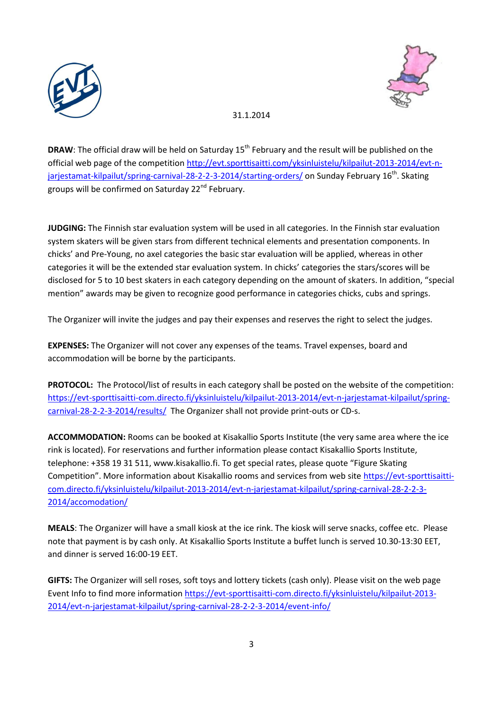



**DRAW**: The official draw will be held on Saturday 15<sup>th</sup> February and the result will be published on the official web page of the competition [http://evt.sporttisaitti.com/yksinluistelu/kilpailut-2013-2014/evt-n](http://evt.sporttisaitti.com/yksinluistelu/kilpailut-2013-2014/evt-n-jarjestamat-kilpailut/spring-carnival-28-2-2-3-2014/starting-orders/)[jarjestamat-kilpailut/spring-carnival-28-2-2-3-2014/starting-orders/](http://evt.sporttisaitti.com/yksinluistelu/kilpailut-2013-2014/evt-n-jarjestamat-kilpailut/spring-carnival-28-2-2-3-2014/starting-orders/) on Sunday February 16<sup>th</sup>. Skating groups will be confirmed on Saturday 22<sup>nd</sup> February.

**JUDGING:** The Finnish star evaluation system will be used in all categories. In the Finnish star evaluation system skaters will be given stars from different technical elements and presentation components. In chicks' and Pre-Young, no axel categories the basic star evaluation will be applied, whereas in other categories it will be the extended star evaluation system. In chicks' categories the stars/scores will be disclosed for 5 to 10 best skaters in each category depending on the amount of skaters. In addition, "special mention" awards may be given to recognize good performance in categories chicks, cubs and springs.

The Organizer will invite the judges and pay their expenses and reserves the right to select the judges.

**EXPENSES:** The Organizer will not cover any expenses of the teams. Travel expenses, board and accommodation will be borne by the participants.

**PROTOCOL:** The Protocol/list of results in each category shall be posted on the website of the competition: [https://evt-sporttisaitti-com.directo.fi/yksinluistelu/kilpailut-2013-2014/evt-n-jarjestamat-kilpailut/spring](https://evt-sporttisaitti-com.directo.fi/yksinluistelu/kilpailut-2013-2014/evt-n-jarjestamat-kilpailut/spring-carnival-28-2-2-3-2014/results/)[carnival-28-2-2-3-2014/results/](https://evt-sporttisaitti-com.directo.fi/yksinluistelu/kilpailut-2013-2014/evt-n-jarjestamat-kilpailut/spring-carnival-28-2-2-3-2014/results/) The Organizer shall not provide print-outs or CD-s.

**ACCOMMODATION:** Rooms can be booked at Kisakallio Sports Institute (the very same area where the ice rink is located). For reservations and further information please contact Kisakallio Sports Institute, telephone: +358 19 31 511, www.kisakallio.fi. To get special rates, please quote "Figure Skating Competition". More information about Kisakallio rooms and services from web site [https://evt-sporttisaitti](https://evt-sporttisaitti-com.directo.fi/yksinluistelu/kilpailut-2013-2014/evt-n-jarjestamat-kilpailut/spring-carnival-28-2-2-3-2014/accomodation/)[com.directo.fi/yksinluistelu/kilpailut-2013-2014/evt-n-jarjestamat-kilpailut/spring-carnival-28-2-2-3-](https://evt-sporttisaitti-com.directo.fi/yksinluistelu/kilpailut-2013-2014/evt-n-jarjestamat-kilpailut/spring-carnival-28-2-2-3-2014/accomodation/) [2014/accomodation/](https://evt-sporttisaitti-com.directo.fi/yksinluistelu/kilpailut-2013-2014/evt-n-jarjestamat-kilpailut/spring-carnival-28-2-2-3-2014/accomodation/)

**MEALS**: The Organizer will have a small kiosk at the ice rink. The kiosk will serve snacks, coffee etc. Please note that payment is by cash only. At Kisakallio Sports Institute a buffet lunch is served 10.30-13:30 EET, and dinner is served 16:00-19 EET.

**GIFTS:** The Organizer will sell roses, soft toys and lottery tickets (cash only). Please visit on the web page Event Info to find more informatio[n https://evt-sporttisaitti-com.directo.fi/yksinluistelu/kilpailut-2013-](https://evt-sporttisaitti-com.directo.fi/yksinluistelu/kilpailut-2013-2014/evt-n-jarjestamat-kilpailut/spring-carnival-28-2-2-3-2014/event-info/) [2014/evt-n-jarjestamat-kilpailut/spring-carnival-28-2-2-3-2014/event-info/](https://evt-sporttisaitti-com.directo.fi/yksinluistelu/kilpailut-2013-2014/evt-n-jarjestamat-kilpailut/spring-carnival-28-2-2-3-2014/event-info/)